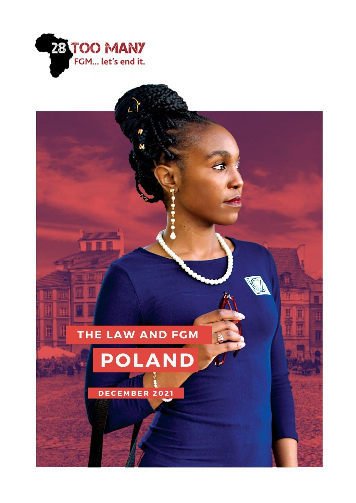

# THE LAW AND FGM

# POLAND

DECEMBER 2021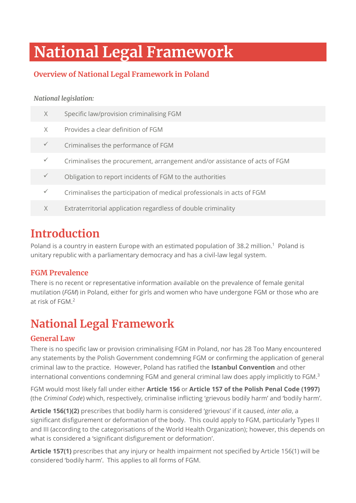# **National Legal Framework**

#### **Overview of National Legal Framework in Poland**

#### *National legislation:*

| $\times$ | Specific law/provision criminalising FGM                                   |
|----------|----------------------------------------------------------------------------|
| X        | Provides a clear definition of FGM                                         |
|          | Criminalises the performance of FGM                                        |
|          | Criminalises the procurement, arrangement and/or assistance of acts of FGM |
|          | Obligation to report incidents of FGM to the authorities                   |
|          | Criminalises the participation of medical professionals in acts of FGM     |
| X        | Extraterritorial application regardless of double criminality              |
|          |                                                                            |

### **Introduction**

Poland is a country in eastern Europe with an estimated population of 38.2 million.<sup>1</sup> Poland is unitary republic with a parliamentary democracy and has a civil-law legal system.

#### **FGM Prevalence**

There is no recent or representative information available on the prevalence of female genital mutilation (*FGM*) in Poland, either for girls and women who have undergone FGM or those who are at risk of FGM.<sup>2</sup>

### **National Legal Framework**

#### **General Law**

There is no specific law or provision criminalising FGM in Poland, nor has 28 Too Many encountered any statements by the Polish Government condemning FGM or confirming the application of general criminal law to the practice. However, Poland has ratified the **Istanbul Convention** and other international conventions condemning FGM and general criminal law does apply implicitly to FGM.<sup>3</sup>

FGM would most likely fall under either **Article 156** or **Article 157 of the Polish Penal Code (1997)** (the *Criminal Code*) which, respectively, criminalise inflicting 'grievous bodily harm' and 'bodily harm'.

**Article 156(1)(2)** prescribes that bodily harm is considered 'grievous' if it caused, *inter alia*, a significant disfigurement or deformation of the body. This could apply to FGM, particularly Types II and III (according to the categorisations of the World Health Organization); however, this depends on what is considered a 'significant disfigurement or deformation'.

**Article 157(1)** prescribes that any injury or health impairment not specified by Article 156(1) will be considered 'bodily harm'. This applies to all forms of FGM.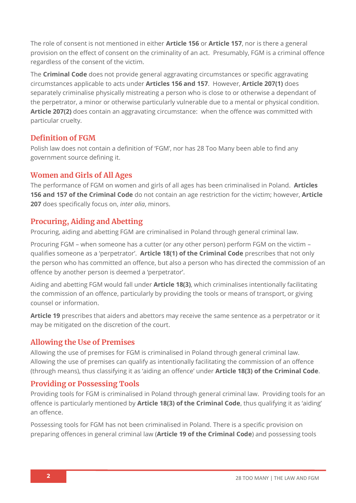The role of consent is not mentioned in either **Article 156** or **Article 157**, nor is there a general provision on the effect of consent on the criminality of an act. Presumably, FGM is a criminal offence regardless of the consent of the victim.

The **Criminal Code** does not provide general aggravating circumstances or specific aggravating circumstances applicable to acts under **Articles 156 and 157**. However, **Article 207(1)** does separately criminalise physically mistreating a person who is close to or otherwise a dependant of the perpetrator, a minor or otherwise particularly vulnerable due to a mental or physical condition. **Article 207(2)** does contain an aggravating circumstance: when the offence was committed with particular cruelty.

#### **Definition of FGM**

Polish law does not contain a definition of 'FGM', nor has 28 Too Many been able to find any government source defining it.

#### **Women and Girls of All Ages**

The performance of FGM on women and girls of all ages has been criminalised in Poland. **Articles 156 and 157 of the Criminal Code** do not contain an age restriction for the victim; however, **Article 207** does specifically focus on, *inter alia*, minors.

#### **Procuring, Aiding and Abetting**

Procuring, aiding and abetting FGM are criminalised in Poland through general criminal law.

Procuring FGM – when someone has a cutter (or any other person) perform FGM on the victim – qualifies someone as a 'perpetrator'. **Article 18(1) of the Criminal Code** prescribes that not only the person who has committed an offence, but also a person who has directed the commission of an offence by another person is deemed a 'perpetrator'.

Aiding and abetting FGM would fall under **Article 18(3)**, which criminalises intentionally facilitating the commission of an offence, particularly by providing the tools or means of transport, or giving counsel or information.

**Article 19** prescribes that aiders and abettors may receive the same sentence as a perpetrator or it may be mitigated on the discretion of the court.

#### **Allowing the Use of Premises**

Allowing the use of premises for FGM is criminalised in Poland through general criminal law. Allowing the use of premises can qualify as intentionally facilitating the commission of an offence (through means), thus classifying it as 'aiding an offence' under **Article 18(3) of the Criminal Code**.

#### **Providing or Possessing Tools**

Providing tools for FGM is criminalised in Poland through general criminal law. Providing tools for an offence is particularly mentioned by **Article 18(3) of the Criminal Code**, thus qualifying it as 'aiding' an offence.

Possessing tools for FGM has not been criminalised in Poland. There is a specific provision on preparing offences in general criminal law (**Article 19 of the Criminal Code**) and possessing tools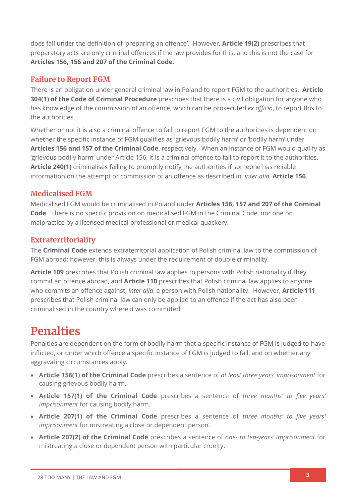does fall under the definition of 'preparing an offence'. However, **Article 19(2)** prescribes that preparatory acts are only criminal offences if the law provides for this, and this is not the case for **Articles 156, 156 and 207 of the Criminal Code**.

#### **Failure to Report FGM**

There is an obligation under general criminal law in Poland to report FGM to the authorities. **Article 304(1) of the Code of Criminal Procedure** prescribes that there is a civil obligation for anyone who has knowledge of the commission of an offence, which can be prosecuted *ex officio*, to report this to the authorities.

Whether or not it is also a criminal offence to fail to report FGM to the authorities is dependent on whether the specific instance of FGM qualifies as 'grievous bodily harm' or 'bodily harm' under **Articles 156 and 157 of the Criminal Code**, respectively. When an instance of FGM would qualify as 'grievous bodily harm' under Article 156, it is a criminal offence to fail to report it to the authorities. **Article 240(1)** criminalises failing to promptly notify the authorities if someone has reliable information on the attempt or commission of an offence as described in, *inter alia*, **Article 156**.

#### **Medicalised FGM**

Medicalised FGM would be criminalised in Poland under **Articles 156, 157 and 207 of the Criminal Code**. There is no specific provision on medicalised FGM in the Criminal Code, nor one on malpractice by a licensed medical professional or medical quackery.

#### **Extraterritoriality**

The **Criminal Code** extends extraterritorial application of Polish criminal law to the commission of FGM abroad; however, this is always under the requirement of double criminality.

**Article 109** prescribes that Polish criminal law applies to persons with Polish nationality if they commit an offence abroad, and **Article 110** prescribes that Polish criminal law applies to anyone who commits an offence against, *inter alia*, a person with Polish nationality. However, **Article 111**  prescribes that Polish criminal law can only be applied to an offence if the act has also been criminalised in the country where it was committed.

### **Penalties**

Penalties are dependent on the form of bodily harm that a specific instance of FGM is judged to have inflicted, or under which offence a specific instance of FGM is judged to fall, and on whether any aggravating circumstances apply.

- **Article 156(1) of the Criminal Code** prescribes a sentence of *at least three years' imprisonment* for causing grievous bodily harm.
- **Article 157(1) of the Criminal Code** prescribes a sentence of *three months' to five years' imprisonment* for causing bodily harm.
- **Article 207(1) of the Criminal Code** prescribes a sentence of *three months' to five years' imprisonment* for mistreating a close or dependent person.
- **Article 207(2) of the Criminal Code** prescribes a sentence of *one- to ten-years' imprisonment* for mistreating a close or dependent person with particular cruelty.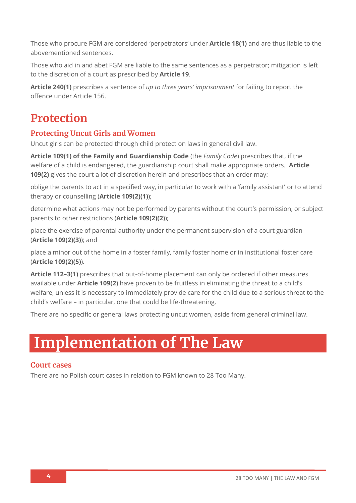Those who procure FGM are considered 'perpetrators' under **Article 18(1)** and are thus liable to the abovementioned sentences.

Those who aid in and abet FGM are liable to the same sentences as a perpetrator; mitigation is left to the discretion of a court as prescribed by **Article 19**.

**Article 240(1)** prescribes a sentence of *up to three years' imprisonment* for failing to report the offence under Article 156.

### **Protection**

#### **Protecting Uncut Girls and Women**

Uncut girls can be protected through child protection laws in general civil law.

**Article 109(1) of the Family and Guardianship Code** (the *Family Code*) prescribes that, if the welfare of a child is endangered, the guardianship court shall make appropriate orders. **Article 109(2)** gives the court a lot of discretion herein and prescribes that an order may:

oblige the parents to act in a specified way, in particular to work with a 'family assistant' or to attend therapy or counselling (**Article 109(2)(1)**);

determine what actions may not be performed by parents without the court's permission, or subject parents to other restrictions (**Article 109(2)(2)**);

place the exercise of parental authority under the permanent supervision of a court guardian (**Article 109(2)(3)**); and

place a minor out of the home in a foster family, family foster home or in institutional foster care (**Article 109(2)(5)**).

**Article 112–3(1)** prescribes that out-of-home placement can only be ordered if other measures available under **Article 109(2)** have proven to be fruitless in eliminating the threat to a child's welfare, unless it is necessary to immediately provide care for the child due to a serious threat to the child's welfare – in particular, one that could be life-threatening.

There are no specific or general laws protecting uncut women, aside from general criminal law.

# **Implementation of The Law**

#### **Court cases**

There are no Polish court cases in relation to FGM known to 28 Too Many.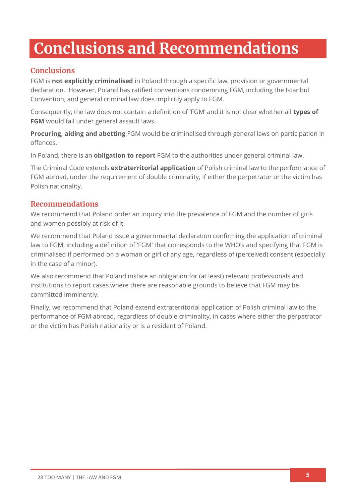# **Conclusions and Recommendations**

#### **Conclusions**

FGM is **not explicitly criminalised** in Poland through a specific law, provision or governmental declaration. However, Poland has ratified conventions condemning FGM, including the Istanbul Convention, and general criminal law does implicitly apply to FGM.

Consequently, the law does not contain a definition of 'FGM' and it is not clear whether all **types of FGM** would fall under general assault laws.

**Procuring, aiding and abetting** FGM would be criminalised through general laws on participation in offences.

In Poland, there is an **obligation to report** FGM to the authorities under general criminal law.

The Criminal Code extends **extraterritorial application** of Polish criminal law to the performance of FGM abroad, under the requirement of double criminality, if either the perpetrator or the victim has Polish nationality.

#### **Recommendations**

We recommend that Poland order an inquiry into the prevalence of FGM and the number of girls and women possibly at risk of it.

We recommend that Poland issue a governmental declaration confirming the application of criminal law to FGM, including a definition of 'FGM' that corresponds to the WHO's and specifying that FGM is criminalised if performed on a woman or girl of any age, regardless of (perceived) consent (especially in the case of a minor).

We also recommend that Poland instate an obligation for (at least) relevant professionals and institutions to report cases where there are reasonable grounds to believe that FGM may be committed imminently.

Finally, we recommend that Poland extend extraterritorial application of Polish criminal law to the performance of FGM abroad, regardless of double criminality, in cases where either the perpetrator or the victim has Polish nationality or is a resident of Poland.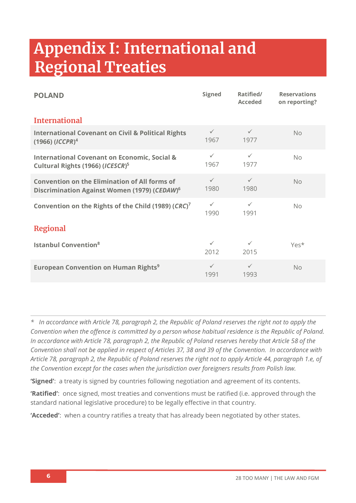# **Appendix I: International and Regional Treaties**

| <b>POLAND</b>                                                                                                    | <b>Signed</b>        | Ratified/<br><b>Acceded</b> | <b>Reservations</b><br>on reporting? |  |  |
|------------------------------------------------------------------------------------------------------------------|----------------------|-----------------------------|--------------------------------------|--|--|
| <b>International</b>                                                                                             |                      |                             |                                      |  |  |
| <b>International Covenant on Civil &amp; Political Rights</b><br>$(1966)$ ( <i>ICCPR</i> ) <sup>4</sup>          | $\checkmark$<br>1967 | $\checkmark$<br>1977        | <b>No</b>                            |  |  |
| <b>International Covenant on Economic, Social &amp;</b><br>Cultural Rights (1966) (ICESCR) <sup>5</sup>          | $\checkmark$<br>1967 | $\checkmark$<br>1977        | <b>No</b>                            |  |  |
| <b>Convention on the Elimination of All forms of</b><br>Discrimination Against Women (1979) (CEDAW) <sup>6</sup> | $\checkmark$<br>1980 | $\checkmark$<br>1980        | <b>No</b>                            |  |  |
| Convention on the Rights of the Child (1989) (CRC) <sup>7</sup>                                                  | $\checkmark$<br>1990 | $\checkmark$<br>1991        | No                                   |  |  |
| <b>Regional</b>                                                                                                  |                      |                             |                                      |  |  |
| <b>Istanbul Convention</b> <sup>8</sup>                                                                          | $\checkmark$<br>2012 | $\checkmark$<br>2015        | Yes*                                 |  |  |
| <b>European Convention on Human Rights<sup>9</sup></b>                                                           | $\checkmark$<br>1991 | $\checkmark$<br>1993        | <b>No</b>                            |  |  |

*\* In accordance with Article 78, paragraph 2, the Republic of Poland reserves the right not to apply the Convention when the offence is committed by a person whose habitual residence is the Republic of Poland. In accordance with Article 78, paragraph 2, the Republic of Poland reserves hereby that Article 58 of the Convention shall not be applied in respect of Articles 37, 38 and 39 of the Convention. In accordance with Article 78, paragraph 2, the Republic of Poland reserves the right not to apply Article 44, paragraph 1.e, of the Convention except for the cases when the jurisdiction over foreigners results from Polish law.*

**'Signed'**: a treaty is signed by countries following negotiation and agreement of its contents.

**'Ratified'**: once signed, most treaties and conventions must be ratified (i.e. approved through the standard national legislative procedure) to be legally effective in that country.

**'Acceded'**: when a country ratifies a treaty that has already been negotiated by other states.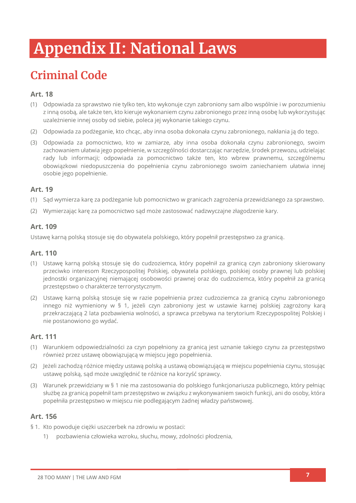# **Appendix II: National Laws**

## **Criminal Code**

#### **Art. 18**

- (1) Odpowiada za sprawstwo nie tylko ten, kto wykonuje czyn zabroniony sam albo wspólnie i w porozumieniu z inną osobą, ale także ten, kto kieruje wykonaniem czynu zabronionego przez inną osobę lub wykorzystując uzależnienie innej osoby od siebie, poleca jej wykonanie takiego czynu.
- (2) Odpowiada za podżeganie, kto chcąc, aby inna osoba dokonała czynu zabronionego, nakłania ją do tego.
- (3) Odpowiada za pomocnictwo, kto w zamiarze, aby inna osoba dokonała czynu zabronionego, swoim zachowaniem ułatwia jego popełnienie, w szczególności dostarczając narzędzie, środek przewozu, udzielając rady lub informacji; odpowiada za pomocnictwo także ten, kto wbrew prawnemu, szczególnemu obowiązkowi niedopuszczenia do popełnienia czynu zabronionego swoim zaniechaniem ułatwia innej osobie jego popełnienie.

#### **Art. 19**

- (1) Sąd wymierza karę za podżeganie lub pomocnictwo w granicach zagrożenia przewidzianego za sprawstwo.
- (2) Wymierzając karę za pomocnictwo sąd może zastosować nadzwyczajne złagodzenie kary.

#### **Art. 109**

Ustawę karną polską stosuje się do obywatela polskiego, który popełnił przestępstwo za granicą.

#### **Art. 110**

- (1) Ustawę karną polską stosuje się do cudzoziemca, który popełnił za granicą czyn zabroniony skierowany przeciwko interesom Rzeczypospolitej Polskiej, obywatela polskiego, polskiej osoby prawnej lub polskiej jednostki organizacyjnej niemającej osobowości prawnej oraz do cudzoziemca, który popełnił za granicą przestępstwo o charakterze terrorystycznym.
- (2) Ustawę karną polską stosuje się w razie popełnienia przez cudzoziemca za granicą czynu zabronionego innego niż wymieniony w § 1, jeżeli czyn zabroniony jest w ustawie karnej polskiej zagrożony karą przekraczającą 2 lata pozbawienia wolności, a sprawca przebywa na terytorium Rzeczypospolitej Polskiej i nie postanowiono go wydać.

#### **Art. 111**

- (1) Warunkiem odpowiedzialności za czyn popełniony za granicą jest uznanie takiego czynu za przestępstwo również przez ustawę obowiązującą w miejscu jego popełnienia.
- (2) Jeżeli zachodzą różnice między ustawą polską a ustawą obowiązującą w miejscu popełnienia czynu, stosując ustawę polską, sąd może uwzględnić te różnice na korzyść sprawcy.
- (3) Warunek przewidziany w § 1 nie ma zastosowania do polskiego funkcjonariusza publicznego, który pełniąc służbę za granicą popełnił tam przestępstwo w związku z wykonywaniem swoich funkcji, ani do osoby, która popełniła przestępstwo w miejscu nie podlegającym żadnej władzy państwowej.

#### **Art. 156**

- § 1. Kto powoduje ciężki uszczerbek na zdrowiu w postaci:
	- 1) pozbawienia człowieka wzroku, słuchu, mowy, zdolności płodzenia,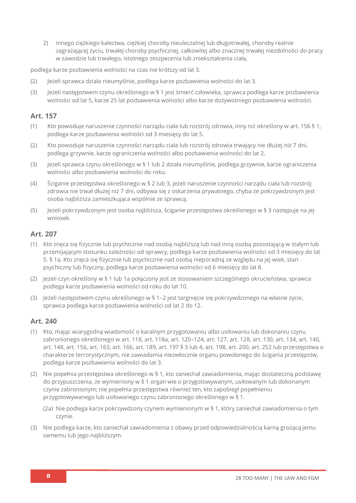2) innego ciężkiego kalectwa, ciężkiej choroby nieuleczalnej lub długotrwałej, choroby realnie zagrażającej życiu, trwałej choroby psychicznej, całkowitej albo znacznej trwałej niezdolności do pracy w zawodzie lub trwałego, istotnego zeszpecenia lub zniekształcenia ciała,

podlega karze pozbawienia wolności na czas nie krótszy od lat 3.

- (2) Jeżeli sprawca działa nieumyślnie, podlega karze pozbawienia wolności do lat 3.
- (3) Jeżeli następstwem czynu określonego w § 1 jest śmierć człowieka, sprawca podlega karze pozbawienia wolności od lat 5, karze 25 lat pozbawienia wolności albo karze dożywotniego pozbawienia wolności.

#### **Art. 157**

- (1) Kto powoduje naruszenie czynności narządu ciała lub rozstrój zdrowia, inny niż określony w art. 156 § 1, podlega karze pozbawienia wolności od 3 miesięcy do lat 5.
- (2) Kto powoduje naruszenie czynności narządu ciała lub rozstrój zdrowia trwający nie dłużej niż 7 dni, podlega grzywnie, karze ograniczenia wolności albo pozbawienia wolności do lat 2.
- (3) Jeżeli sprawca czynu określonego w § 1 lub 2 działa nieumyślnie, podlega grzywnie, karze ograniczenia wolności albo pozbawienia wolności do roku.
- (4) Ściganie przestępstwa określonego w § 2 lub 3, jeżeli naruszenie czynności narządu ciała lub rozstrój zdrowia nie trwał dłużej niż 7 dni, odbywa się z oskarżenia prywatnego, chyba że pokrzywdzonym jest osoba najbliższa zamieszkująca wspólnie ze sprawcą.
- (5) Jeżeli pokrzywdzonym jest osoba najbliższa, ściganie przestępstwa określonego w § 3 następuje na jej wniosek.

#### **Art. 207**

- (1) Kto znęca się fizycznie lub psychicznie nad osobą najbliższą lub nad inną osobą pozostającą w stałym lub przemijającym stosunku zależności od sprawcy, podlega karze pozbawienia wolności od 3 miesięcy do lat 5. § 1a. Kto znęca się fizycznie lub psychicznie nad osobą nieporadną ze względu na jej wiek, stan psychiczny lub fizyczny, podlega karze pozbawienia wolności od 6 miesięcy do lat 8.
- (2) Jeżeli czyn określony w § 1 lub 1a połączony jest ze stosowaniem szczególnego okrucieństwa, sprawca podlega karze pozbawienia wolności od roku do lat 10.
- (3) Jeżeli następstwem czynu określonego w § 1–2 jest targnięcie się pokrzywdzonego na własne życie, sprawca podlega karze pozbawienia wolności od lat 2 do 12.

#### **Art. 240**

- (1) Kto, mając wiarygodną wiadomość o karalnym przygotowaniu albo usiłowaniu lub dokonaniu czynu zabronionego określonego w art. 118, art. 118a, art. 120–124, art. 127, art. 128, art. 130, art. 134, art. 140, art. 148, art. 156, art. 163, art. 166, art. 189, art. 197 § 3 lub 4, art. 198, art. 200, art. 252 lub przestępstwa o charakterze terrorystycznym, nie zawiadamia niezwłocznie organu powołanego do ścigania przestępstw, podlega karze pozbawienia wolności do lat 3.
- (2) Nie popełnia przestępstwa określonego w § 1, kto zaniechał zawiadomienia, mając dostateczną podstawę do przypuszczenia, że wymieniony w § 1 organ wie o przygotowywanym, usiłowanym lub dokonanym czynie zabronionym; nie popełnia przestępstwa również ten, kto zapobiegł popełnieniu przygotowywanego lub usiłowanego czynu zabronionego określonego w § 1.
	- (2a) Nie podlega karze pokrzywdzony czynem wymienionym w § 1, który zaniechał zawiadomienia o tym czynie.
- (3) Nie podlega karze, kto zaniechał zawiadomienia z obawy przed odpowiedzialnością karną grożącą jemu samemu lub jego najbliższym.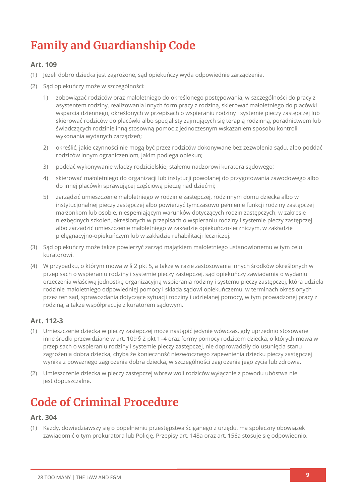## **Family and Guardianship Code**

#### **Art. 109**

- (1) Jeżeli dobro dziecka jest zagrożone, sąd opiekuńczy wyda odpowiednie zarządzenia.
- (2) Sąd opiekuńczy może w szczególności:
	- 1) zobowiązać rodziców oraz małoletniego do określonego postępowania, w szczególności do pracy z asystentem rodziny, realizowania innych form pracy z rodziną, skierować małoletniego do placówki wsparcia dziennego, określonych w przepisach o wspieraniu rodziny i systemie pieczy zastępczej lub skierować rodziców do placówki albo specjalisty zajmujących się terapią rodzinną, poradnictwem lub świadczących rodzinie inną stosowną pomoc z jednoczesnym wskazaniem sposobu kontroli wykonania wydanych zarządzeń;
	- 2) określić, jakie czynności nie mogą być przez rodziców dokonywane bez zezwolenia sądu, albo poddać rodziców innym ograniczeniom, jakim podlega opiekun;
	- 3) poddać wykonywanie władzy rodzicielskiej stałemu nadzorowi kuratora sądowego;
	- 4) skierować małoletniego do organizacji lub instytucji powołanej do przygotowania zawodowego albo do innej placówki sprawującej częściową pieczę nad dziećmi;
	- 5) zarządzić umieszczenie małoletniego w rodzinie zastępczej, rodzinnym domu dziecka albo w instytucjonalnej pieczy zastępczej albo powierzyć tymczasowo pełnienie funkcji rodziny zastępczej małżonkom lub osobie, niespełniającym warunków dotyczących rodzin zastępczych, w zakresie niezbędnych szkoleń, określonych w przepisach o wspieraniu rodziny i systemie pieczy zastępczej albo zarządzić umieszczenie małoletniego w zakładzie opiekuńczo-leczniczym, w zakładzie pielęgnacyjno-opiekuńczym lub w zakładzie rehabilitacji leczniczej.
- (3) Sąd opiekuńczy może także powierzyć zarząd majątkiem małoletniego ustanowionemu w tym celu kuratorowi.
- (4) W przypadku, o którym mowa w § 2 pkt 5, a także w razie zastosowania innych środków określonych w przepisach o wspieraniu rodziny i systemie pieczy zastępczej, sąd opiekuńczy zawiadamia o wydaniu orzeczenia właściwą jednostkę organizacyjną wspierania rodziny i systemu pieczy zastępczej, która udziela rodzinie małoletniego odpowiedniej pomocy i składa sądowi opiekuńczemu, w terminach określonych przez ten sąd, sprawozdania dotyczące sytuacji rodziny i udzielanej pomocy, w tym prowadzonej pracy z rodziną, a także współpracuje z kuratorem sądowym.

#### **Art. 112-3**

- (1) Umieszczenie dziecka w pieczy zastępczej może nastąpić jedynie wówczas, gdy uprzednio stosowane inne środki przewidziane w art. 109 § 2 pkt 1–4 oraz formy pomocy rodzicom dziecka, o których mowa w przepisach o wspieraniu rodziny i systemie pieczy zastępczej, nie doprowadziły do usunięcia stanu zagrożenia dobra dziecka, chyba że konieczność niezwłocznego zapewnienia dziecku pieczy zastępczej wynika z poważnego zagrożenia dobra dziecka, w szczególności zagrożenia jego życia lub zdrowia.
- (2) Umieszczenie dziecka w pieczy zastępczej wbrew woli rodziców wyłącznie z powodu ubóstwa nie jest dopuszczalne.

### **Code of Criminal Procedure**

#### **Art. 304**

(1) Każdy, dowiedziawszy się o popełnieniu przestępstwa ściganego z urzędu, ma społeczny obowiązek zawiadomić o tym prokuratora lub Policję. Przepisy art. 148a oraz art. 156a stosuje się odpowiednio.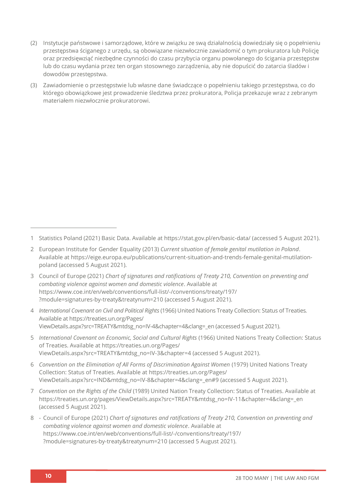- (2) Instytucje państwowe i samorządowe, które w związku ze swą działalnością dowiedziały się o popełnieniu przestępstwa ściganego z urzędu, są obowiązane niezwłocznie zawiadomić o tym prokuratora lub Policję oraz przedsięwziąć niezbędne czynności do czasu przybycia organu powołanego do ścigania przestępstw lub do czasu wydania przez ten organ stosownego zarządzenia, aby nie dopuścić do zatarcia śladów i dowodów przestępstwa.
- (3) Zawiadomienie o przestępstwie lub własne dane świadczące o popełnieniu takiego przestępstwa, co do którego obowiązkowe jest prowadzenie śledztwa przez prokuratora, Policja przekazuje wraz z zebranym materiałem niezwłocznie prokuratorowi.

- 3 Council of Europe (2021) *Chart of signatures and ratifications of Treaty 210, Convention on preventing and combating violence against women and domestic violence*. Available at [https://www.coe.int/en/web/conventions/full-list/-/conventions/treaty/197/](https://www.coe.int/en/web/conventions/full-list/-/conventions/treaty/197/?module=signatures-by-treaty&treatynum=210) [?module=signatures-by-treaty&treatynum=210](https://www.coe.int/en/web/conventions/full-list/-/conventions/treaty/197/?module=signatures-by-treaty&treatynum=210) (accessed 5 August 2021).
- 4 *International Covenant on Civil and Political Rights* (1966) United Nations Treaty Collection: Status of Treaties*.* Available at [https://treaties.un.org/Pages/](https://treaties.un.org/Pages/ViewDetails.aspx?src=TREATY&mtdsg_no=IV-4&chapter=4&clang=_en) [ViewDetails.aspx?src=TREATY&mtdsg\\_no=IV-4&chapter=4&clang=\\_en](https://treaties.un.org/Pages/ViewDetails.aspx?src=TREATY&mtdsg_no=IV-4&chapter=4&clang=_en) (accessed 5 August 2021).
- 5 *International Covenant on Economic, Social and Cultural Rights* (1966) United Nations Treaty Collection: Status of Treaties. Available at [https://treaties.un.org/Pages/](https://treaties.un.org/Pages/ViewDetails.aspx?src=TREATY&mtdsg_no=IV-3&chapter=4) [ViewDetails.aspx?src=TREATY&mtdsg\\_no=IV-3&chapter=4](https://treaties.un.org/Pages/ViewDetails.aspx?src=TREATY&mtdsg_no=IV-3&chapter=4) (accessed 5 August 2021).
- 6 *Convention on the Elimination of All Forms of Discrimination Against Women* (1979) United Nations Treaty Collection: Status of Treaties. Available at [https://treaties.un.org/Pages/](https://treaties.un.org/Pages/ViewDetails.aspx?src=IND&mtdsg_no=IV-8&chapter=4&clang=_en#9) [ViewDetails.aspx?src=IND&mtdsg\\_no=IV-8&chapter=4&clang=\\_en#9](https://treaties.un.org/Pages/ViewDetails.aspx?src=IND&mtdsg_no=IV-8&chapter=4&clang=_en#9) (accessed 5 August 2021).
- 7 *Convention on the Rights of the Child* (1989) United Nation Treaty Collection: Status of Treaties. Available at [https://treaties.un.org/pages/ViewDetails.aspx?src=TREATY&mtdsg\\_no=IV-11&chapter=4&clang=\\_en](https://treaties.un.org/pages/ViewDetails.aspx?src=TREATY&mtdsg_no=IV-11&chapter=4&clang=_en) (accessed 5 August 2021).
- 8 Council of Europe (2021) *Chart of signatures and ratifications of Treaty 210, Convention on preventing and combating violence against women and domestic violence*. Available at [https://www.coe.int/en/web/conventions/full-list/-/conventions/treaty/197/](https://www.coe.int/en/web/conventions/full-list/-/conventions/treaty/197/?module=signatures-by-treaty&treatynum=210) [?module=signatures-by-treaty&treatynum=210](https://www.coe.int/en/web/conventions/full-list/-/conventions/treaty/197/?module=signatures-by-treaty&treatynum=210) (accessed 5 August 2021).

<sup>1</sup> Statistics Poland (2021) Basic Data. Available at<https://stat.gov.pl/en/basic-data/> (accessed 5 August 2021).

<sup>2</sup> European Institute for Gender Equality (2013) *Current situation of female genital mutilation in Poland*. Available a[t https://eige.europa.eu/publications/current-situation-and-trends-female-genital-mutilation](https://eige.europa.eu/publications/current-situation-and-trends-female-genital-mutilation-poland)[poland](https://eige.europa.eu/publications/current-situation-and-trends-female-genital-mutilation-poland) (accessed 5 August 2021).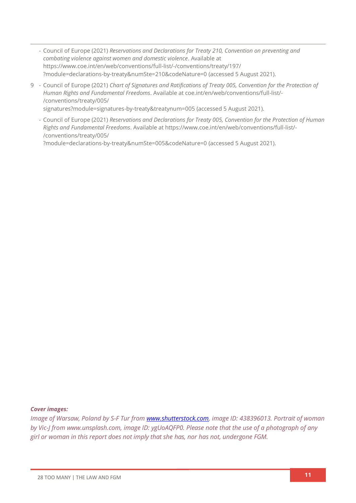- Council of Europe (2021) *Reservations and Declarations for Treaty 210, Convention on preventing and combating violence against women and domestic violence*. Available at [https://www.coe.int/en/web/conventions/full-list/-/conventions/treaty/197/](https://www.coe.int/en/web/conventions/full-list/-/conventions/treaty/197/?module=declarations-by-treaty&numSte=210&codeNature=0) [?module=declarations-by-treaty&numSte=210&codeNature=0](https://www.coe.int/en/web/conventions/full-list/-/conventions/treaty/197/?module=declarations-by-treaty&numSte=210&codeNature=0) (accessed 5 August 2021).
- 9 Council of Europe (2021) *Chart of Signatures and Ratifications of Treaty 005, Convention for the Protection of Human Rights and Fundamental Freedoms*. Available a[t coe.int/en/web/conventions/full-list/-](file:///C:/Users/Danica/Desktop/Law%20Reports/coe.int/en/web/conventions/full-list/-/conventions/treaty/005/signatures) [/conventions/treaty/005/](file:///C:/Users/Danica/Desktop/Law%20Reports/coe.int/en/web/conventions/full-list/-/conventions/treaty/005/signatures) [signatures?module=signatures-by-treaty&treatynum=005](file:///C:/Users/Danica/Desktop/Law%20Reports/coe.int/en/web/conventions/full-list/-/conventions/treaty/005/signatures) (accessed 5 August 2021).
	- Council of Europe (2021) *Reservations and Declarations for Treaty 005, Convention for the Protection of Human Rights and Fundamental Freedoms*. Available at [https://www.coe.int/en/web/conventions/full-list/-](https://www.coe.int/en/web/conventions/full-list/-/conventions/treaty/005/?module=declarations-by-treaty&numSte=005&codeNature=0) [/conventions/treaty/005/](https://www.coe.int/en/web/conventions/full-list/-/conventions/treaty/005/?module=declarations-by-treaty&numSte=005&codeNature=0)

[?module=declarations-by-treaty&numSte=005&codeNature=0](https://www.coe.int/en/web/conventions/full-list/-/conventions/treaty/005/?module=declarations-by-treaty&numSte=005&codeNature=0) (accessed 5 August 2021).

#### *Cover images:*

*Image of Warsaw, Poland by S-F Tur from [www.shutterstock.com,](http://www.shutterstock.com/) image ID: 438396013. Portrait of woman by Vic-J from www.unsplash.com, image ID: ygUoAQFP0. Please note that the use of a photograph of any girl or woman in this report does not imply that she has, nor has not, undergone FGM.*